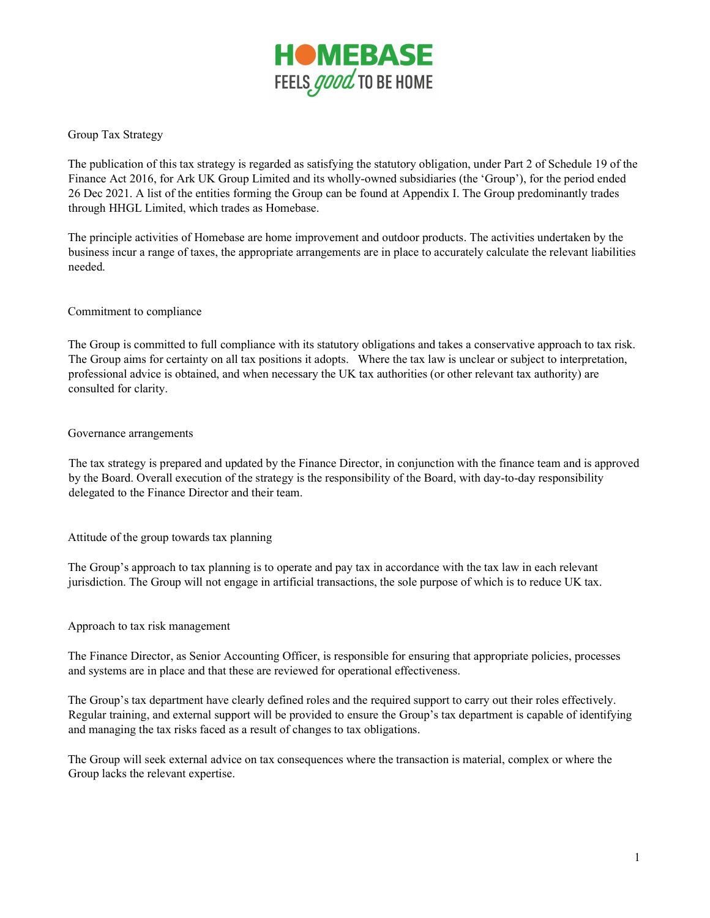

Group Tax Strategy

The publication of this tax strategy is regarded as satisfying the statutory obligation, under Part 2 of Schedule 19 of the Finance Act 2016, for Ark UK Group Limited and its wholly-owned subsidiaries (the 'Group'), for the period ended 26 Dec 2021. A list of the entities forming the Group can be found at Appendix I. The Group predominantly trades through HHGL Limited, which trades as Homebase.

The principle activities of Homebase are home improvement and outdoor products. The activities undertaken by the business incur a range of taxes, the appropriate arrangements are in place to accurately calculate the relevant liabilities needed.

## Commitment to compliance

The Group is committed to full compliance with its statutory obligations and takes a conservative approach to tax risk. The Group aims for certainty on all tax positions it adopts. Where the tax law is unclear or subject to interpretation, professional advice is obtained, and when necessary the UK tax authorities (or other relevant tax authority) are consulted for clarity.

## Governance arrangements

The tax strategy is prepared and updated by the Finance Director, in conjunction with the finance team and is approved by the Board. Overall execution of the strategy is the responsibility of the Board, with day-to-day responsibility delegated to the Finance Director and their team.

Attitude of the group towards tax planning

The Group's approach to tax planning is to operate and pay tax in accordance with the tax law in each relevant jurisdiction. The Group will not engage in artificial transactions, the sole purpose of which is to reduce UK tax.

## Approach to tax risk management

The Finance Director, as Senior Accounting Officer, is responsible for ensuring that appropriate policies, processes and systems are in place and that these are reviewed for operational effectiveness.

The Group's tax department have clearly defined roles and the required support to carry out their roles effectively. Regular training, and external support will be provided to ensure the Group's tax department is capable of identifying and managing the tax risks faced as a result of changes to tax obligations.

The Group will seek external advice on tax consequences where the transaction is material, complex or where the Group lacks the relevant expertise.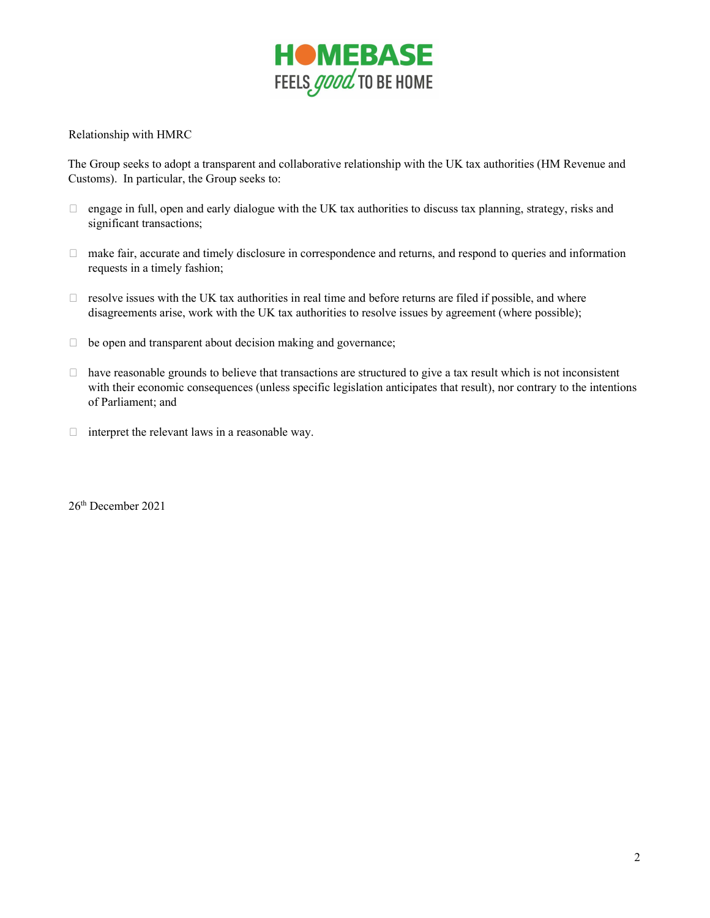

Relationship with HMRC

The Group seeks to adopt a transparent and collaborative relationship with the UK tax authorities (HM Revenue and Customs). In particular, the Group seeks to:

- $\Box$  engage in full, open and early dialogue with the UK tax authorities to discuss tax planning, strategy, risks and significant transactions;
- $\Box$  make fair, accurate and timely disclosure in correspondence and returns, and respond to queries and information requests in a timely fashion;
- $\Box$  resolve issues with the UK tax authorities in real time and before returns are filed if possible, and where disagreements arise, work with the UK tax authorities to resolve issues by agreement (where possible);
- $\Box$  be open and transparent about decision making and governance;
- $\Box$  have reasonable grounds to believe that transactions are structured to give a tax result which is not inconsistent with their economic consequences (unless specific legislation anticipates that result), nor contrary to the intentions of Parliament; and
- $\Box$  interpret the relevant laws in a reasonable way.

26th December 2021